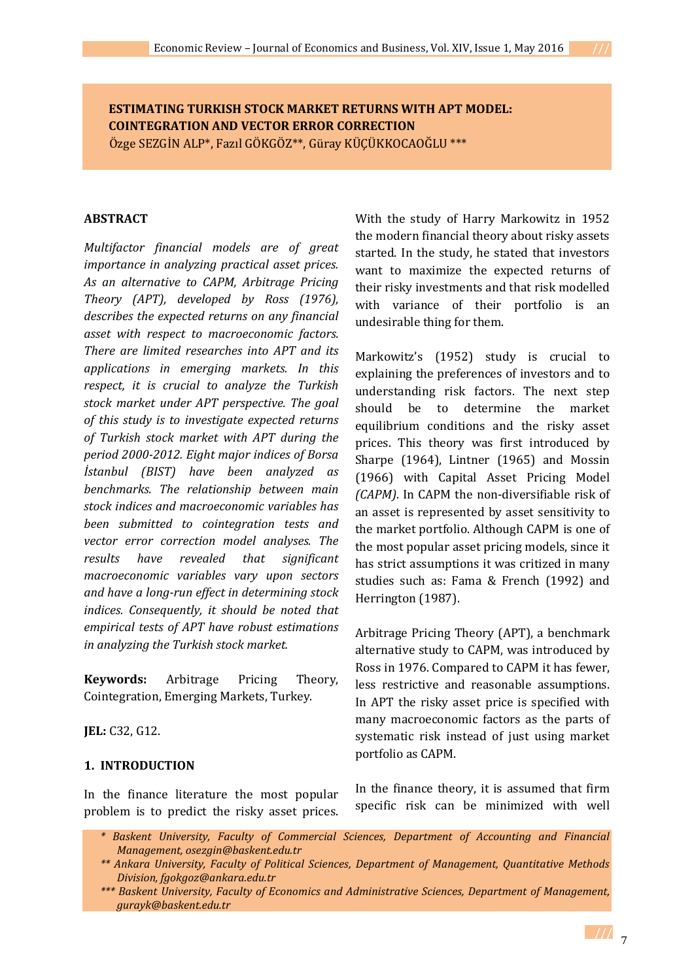# **ESTIMATING TURKISH STOCK MARKET RETURNS WITH APT MODEL: COINTEGRATION AND VECTOR ERROR CORRECTION**

Özge SEZGİN ALP\*, Fazıl GÖKGÖZ\*\*, Güray KÜÇÜKKOCAOĞLU \*\*\*

### **ABSTRACT**

*Multifactor financial models are of great importance in analyzing practical asset prices. As an alternative to CAPM, Arbitrage Pricing Theory (APT), developed by Ross (1976), describes the expected returns on any financial asset with respect to macroeconomic factors. There are limited researches into APT and its applications in emerging markets. In this respect, it is crucial to analyze the Turkish stock market under APT perspective. The goal of this study is to investigate expected returns of Turkish stock market with APT during the period 2000-2012. Eight major indices of Borsa İstanbul (BIST) have been analyzed as benchmarks. The relationship between main stock indices and macroeconomic variables has been submitted to cointegration tests and vector error correction model analyses. The results have revealed that significant macroeconomic variables vary upon sectors and have a long-run effect in determining stock indices. Consequently, it should be noted that empirical tests of APT have robust estimations in analyzing the Turkish stock market.*

**Keywords:** Arbitrage Pricing Theory, Cointegration, Emerging Markets, Turkey.

**JEL:** C32, G12.

### **1. INTRODUCTION**

In the finance literature the most popular problem is to predict the risky asset prices. With the study of Harry Markowitz in 1952 the modern financial theory about risky assets started. In the study, he stated that investors want to maximize the expected returns of their risky investments and that risk modelled with variance of their portfolio is an undesirable thing for them.

Markowitz's (1952) study is crucial to explaining the preferences of investors and to understanding risk factors. The next step should be to determine the market equilibrium conditions and the risky asset prices. This theory was first introduced by Sharpe (1964), Lintner (1965) and Mossin (1966) with Capital Asset Pricing Model *(CAPM)*. In CAPM the non-diversifiable risk of an asset is represented by asset sensitivity to the market portfolio. Although CAPM is one of the most popular asset pricing models, since it has strict assumptions it was critized in many studies such as: Fama & French (1992) and Herrington (1987).

Arbitrage Pricing Theory (APT), a benchmark alternative study to CAPM, was introduced by Ross in 1976. Compared to CAPM it has fewer, less restrictive and reasonable assumptions. In APT the risky asset price is specified with many macroeconomic factors as the parts of systematic risk instead of just using market portfolio as CAPM.

In the finance theory, it is assumed that firm specific risk can be minimized with well

*<sup>\*</sup> Baskent University, Faculty of Commercial Sciences, Department of Accounting and Financial Management, osezgin@baskent.edu.tr*

*<sup>\*\*</sup> Ankara University, Faculty of Political Sciences, Department of Management, Quantitative Methods Division, fgokgoz@ankara.edu.tr*

*<sup>\*\*\*</sup> Baskent University, Faculty of Economics and Administrative Sciences, Department of Management, gurayk@baskent.edu.tr*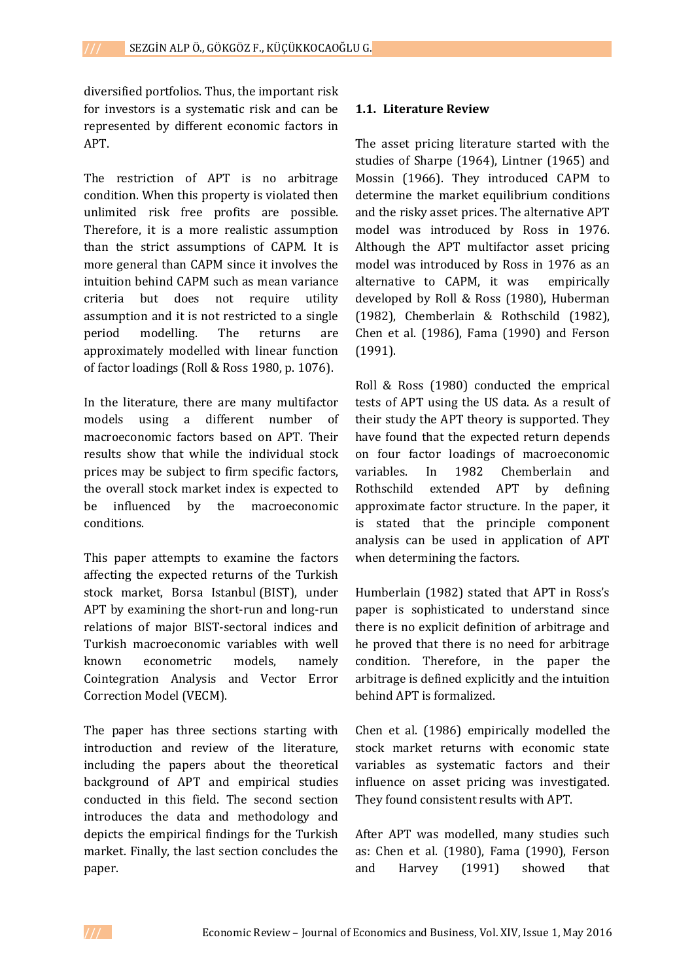diversified portfolios. Thus, the important risk for investors is a systematic risk and can be represented by different economic factors in APT.

The restriction of APT is no arbitrage condition. When this property is violated then unlimited risk free profits are possible. Therefore, it is a more realistic assumption than the strict assumptions of CAPM. It is more general than CAPM since it involves the intuition behind CAPM such as mean variance criteria but does not require utility assumption and it is not restricted to a single period modelling. The returns are approximately modelled with linear function of factor loadings (Roll & Ross 1980, p. 1076).

In the literature, there are many multifactor models using a different number of macroeconomic factors based on APT. Their results show that while the individual stock prices may be subject to firm specific factors, the overall stock market index is expected to be influenced by the macroeconomic conditions.

This paper attempts to examine the factors affecting the expected returns of the Turkish stock market, Borsa Istanbul (BIST), under APT by examining the short-run and long-run relations of major BIST-sectoral indices and Turkish macroeconomic variables with well known econometric models, namely Cointegration Analysis and Vector Error Correction Model (VECM).

The paper has three sections starting with introduction and review of the literature, including the papers about the theoretical background of APT and empirical studies conducted in this field. The second section introduces the data and methodology and depicts the empirical findings for the Turkish market. Finally, the last section concludes the paper.

### **1.1. Literature Review**

The asset pricing literature started with the studies of Sharpe (1964), Lintner (1965) and Mossin (1966). They introduced CAPM to determine the market equilibrium conditions and the risky asset prices. The alternative APT model was introduced by Ross in 1976. Although the APT multifactor asset pricing model was introduced by Ross in 1976 as an alternative to CAPM, it was empirically developed by Roll & Ross (1980), Huberman (1982), Chemberlain & Rothschild (1982), Chen et al. (1986), Fama (1990) and Ferson (1991).

Roll & Ross (1980) conducted the emprical tests of APT using the US data. As a result of their study the APT theory is supported. They have found that the expected return depends on four factor loadings of macroeconomic variables. In 1982 Chemberlain and Rothschild extended APT by defining approximate factor structure. In the paper, it is stated that the principle component analysis can be used in application of APT when determining the factors.

Humberlain (1982) stated that APT in Ross's paper is sophisticated to understand since there is no explicit definition of arbitrage and he proved that there is no need for arbitrage condition. Therefore, in the paper the arbitrage is defined explicitly and the intuition behind APT is formalized.

Chen et al. (1986) empirically modelled the stock market returns with economic state variables as systematic factors and their influence on asset pricing was investigated. They found consistent results with APT.

After APT was modelled, many studies such as: Chen et al. (1980), Fama (1990), Ferson and Harvey (1991) showed that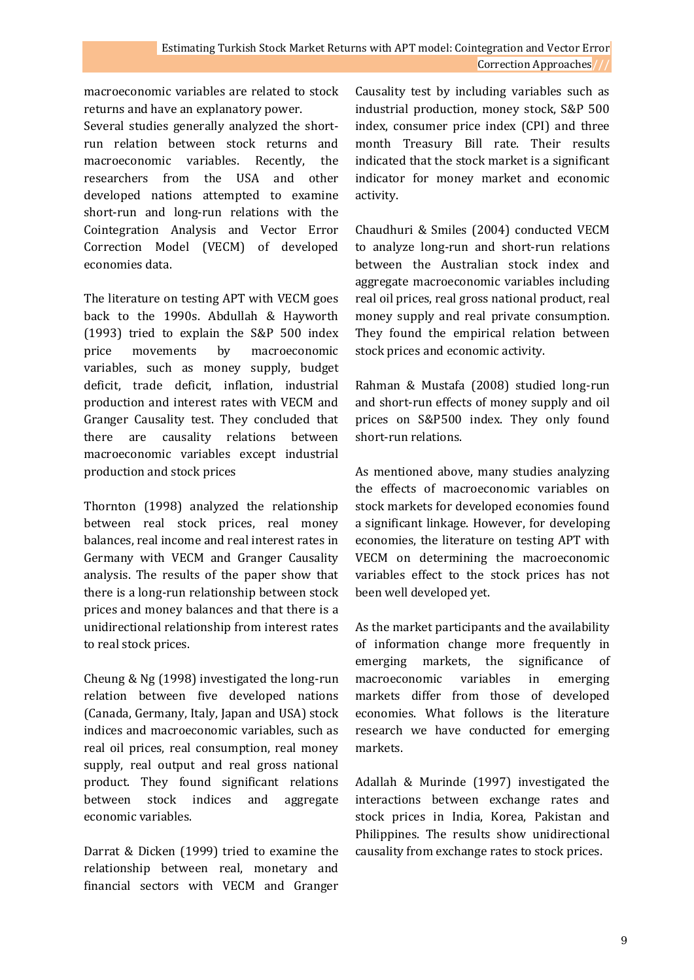macroeconomic variables are related to stock returns and have an explanatory power.

Several studies generally analyzed the shortrun relation between stock returns and macroeconomic variables. Recently, the researchers from the USA and other developed nations attempted to examine short-run and long-run relations with the Cointegration Analysis and Vector Error Correction Model (VECM) of developed economies data.

The literature on testing APT with VECM goes back to the 1990s. Abdullah & Hayworth (1993) tried to explain the S&P 500 index price movements by macroeconomic variables, such as money supply, budget deficit, trade deficit, inflation, industrial production and interest rates with VECM and Granger Causality test. They concluded that there are causality relations between macroeconomic variables except industrial production and stock prices

Thornton (1998) analyzed the relationship between real stock prices, real money balances, real income and real interest rates in Germany with VECM and Granger Causality analysis. The results of the paper show that there is a long-run relationship between stock prices and money balances and that there is a unidirectional relationship from interest rates to real stock prices.

Cheung & Ng (1998) investigated the long-run relation between five developed nations (Canada, Germany, Italy, Japan and USA) stock indices and macroeconomic variables, such as real oil prices, real consumption, real money supply, real output and real gross national product. They found significant relations between stock indices and aggregate economic variables.

Darrat & Dicken (1999) tried to examine the relationship between real, monetary and financial sectors with VECM and Granger

Causality test by including variables such as industrial production, money stock, S&P 500 index, consumer price index (CPI) and three month Treasury Bill rate. Their results indicated that the stock market is a significant indicator for money market and economic activity.

Chaudhuri & Smiles (2004) conducted VECM to analyze long-run and short-run relations between the Australian stock index and aggregate macroeconomic variables including real oil prices, real gross national product, real money supply and real private consumption. They found the empirical relation between stock prices and economic activity.

Rahman & Mustafa (2008) studied long-run and short-run effects of money supply and oil prices on S&P500 index. They only found short-run relations.

As mentioned above, many studies analyzing the effects of macroeconomic variables on stock markets for developed economies found a significant linkage. However, for developing economies, the literature on testing APT with VECM on determining the macroeconomic variables effect to the stock prices has not been well developed yet.

As the market participants and the availability of information change more frequently in emerging markets, the significance of macroeconomic variables in emerging markets differ from those of developed economies. What follows is the literature research we have conducted for emerging markets.

Adallah & Murinde (1997) investigated the interactions between exchange rates and stock prices in India, Korea, Pakistan and Philippines. The results show unidirectional causality from exchange rates to stock prices.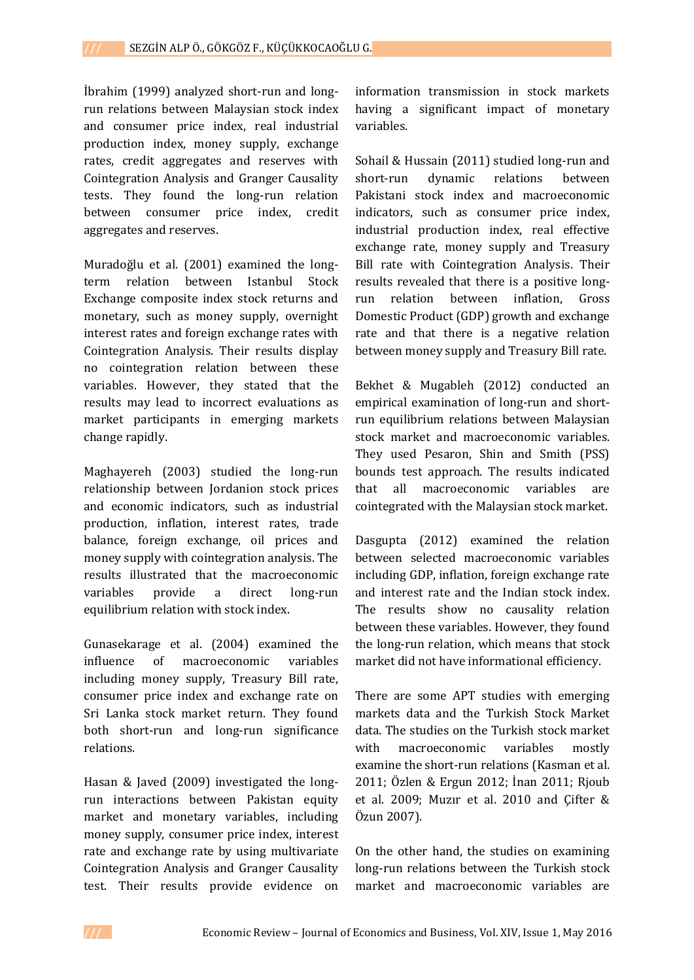İbrahim (1999) analyzed short-run and longrun relations between Malaysian stock index and consumer price index, real industrial production index, money supply, exchange rates, credit aggregates and reserves with Cointegration Analysis and Granger Causality tests. They found the long-run relation between consumer price index, credit aggregates and reserves.

Muradoğlu et al. (2001) examined the longterm relation between Istanbul Stock Exchange composite index stock returns and monetary, such as money supply, overnight interest rates and foreign exchange rates with Cointegration Analysis. Their results display no cointegration relation between these variables. However, they stated that the results may lead to incorrect evaluations as market participants in emerging markets change rapidly.

Maghayereh (2003) studied the long-run relationship between Jordanion stock prices and economic indicators, such as industrial production, inflation, interest rates, trade balance, foreign exchange, oil prices and money supply with cointegration analysis. The results illustrated that the macroeconomic variables provide a direct long-run equilibrium relation with stock index.

Gunasekarage et al. (2004) examined the influence of macroeconomic variables including money supply, Treasury Bill rate, consumer price index and exchange rate on Sri Lanka stock market return. They found both short-run and long-run significance relations.

Hasan & Javed (2009) investigated the longrun interactions between Pakistan equity market and monetary variables, including money supply, consumer price index, interest rate and exchange rate by using multivariate Cointegration Analysis and Granger Causality test. Their results provide evidence on

information transmission in stock markets having a significant impact of monetary variables.

Sohail & Hussain (2011) studied long-run and short-run dynamic relations between Pakistani stock index and macroeconomic indicators, such as consumer price index, industrial production index, real effective exchange rate, money supply and Treasury Bill rate with Cointegration Analysis. Their results revealed that there is a positive longrun relation between inflation, Gross Domestic Product (GDP) growth and exchange rate and that there is a negative relation between money supply and Treasury Bill rate.

Bekhet & Mugableh (2012) conducted an empirical examination of long-run and shortrun equilibrium relations between Malaysian stock market and macroeconomic variables. They used Pesaron, Shin and Smith (PSS) bounds test approach. The results indicated that all macroeconomic variables are cointegrated with the Malaysian stock market.

Dasgupta (2012) examined the relation between selected macroeconomic variables including GDP, inflation, foreign exchange rate and interest rate and the Indian stock index. The results show no causality relation between these variables. However, they found the long-run relation, which means that stock market did not have informational efficiency.

There are some APT studies with emerging markets data and the Turkish Stock Market data. The studies on the Turkish stock market with macroeconomic variables mostly examine the short-run relations (Kasman et al. 2011; Özlen & Ergun 2012; İnan 2011; Rjoub et al. 2009; Muzır et al. 2010 and Çifter & Özun 2007).

On the other hand, the studies on examining long-run relations between the Turkish stock market and macroeconomic variables are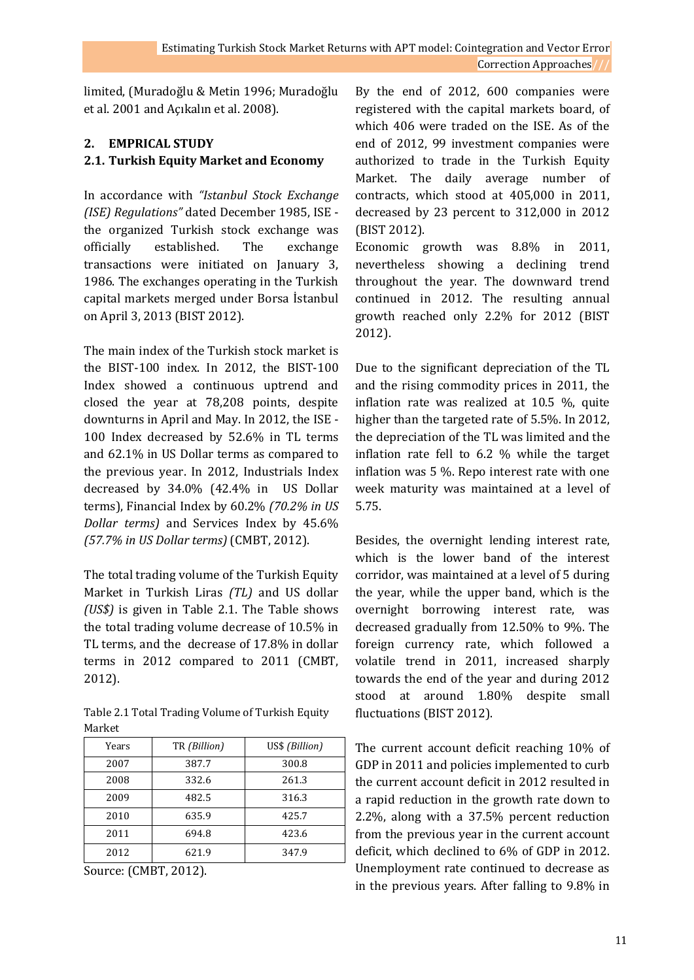limited, (Muradoğlu & Metin 1996; Muradoğlu et al. 2001 and Açıkalın et al. 2008).

# **2. EMPRICAL STUDY 2.1. Turkish Equity Market and Economy**

In accordance with *"Istanbul Stock Exchange (ISE) Regulations"* dated December 1985, ISE the organized Turkish stock exchange was officially established. The exchange transactions were initiated on January 3, 1986. The exchanges operating in the Turkish capital markets merged under Borsa İstanbul on April 3, 2013 (BIST 2012).

The main index of the Turkish stock market is the BIST-100 index. In 2012, the BIST-100 Index showed a continuous uptrend and closed the year at 78,208 points, despite downturns in April and May. In 2012, the ISE - 100 Index decreased by 52.6% in TL terms and 62.1% in US Dollar terms as compared to the previous year. In 2012, Industrials Index decreased by 34.0% (42.4% in US Dollar terms), Financial Index by 60.2% *(70.2% in US Dollar terms)* and Services Index by 45.6% *(57.7% in US Dollar terms)* (CMBT, 2012).

The total trading volume of the Turkish Equity Market in Turkish Liras *(TL)* and US dollar *(US\$)* is given in Table 2.1. The Table shows the total trading volume decrease of 10.5% in TL terms, and the decrease of 17.8% in dollar terms in 2012 compared to 2011 (CMBT, 2012).

Table 2.1 Total Trading Volume of Turkish Equity Market

| Years | TR (Billion) | US\$ (Billion) |  |  |  |  |
|-------|--------------|----------------|--|--|--|--|
| 2007  | 387.7        | 300.8          |  |  |  |  |
| 2008  | 332.6        | 261.3          |  |  |  |  |
| 2009  | 482.5        | 316.3          |  |  |  |  |
| 2010  | 635.9        | 425.7          |  |  |  |  |
| 2011  | 694.8        | 423.6          |  |  |  |  |
| 2012  | 621.9        | 347.9          |  |  |  |  |
|       |              |                |  |  |  |  |

Source: (CMBT, 2012).

By the end of 2012, 600 companies were registered with the capital markets board, of which 406 were traded on the ISE. As of the end of 2012, 99 investment companies were authorized to trade in the Turkish Equity Market. The daily average number of contracts, which stood at 405,000 in 2011, decreased by 23 percent to 312,000 in 2012 (BIST 2012).

Economic growth was 8.8% in 2011, nevertheless showing a declining trend throughout the year. The downward trend continued in 2012. The resulting annual growth reached only 2.2% for 2012 (BIST 2012).

Due to the significant depreciation of the TL and the rising commodity prices in 2011, the inflation rate was realized at 10.5 %, quite higher than the targeted rate of 5.5%. In 2012, the depreciation of the TL was limited and the inflation rate fell to 6.2 % while the target inflation was 5 %. Repo interest rate with one week maturity was maintained at a level of 5.75.

Besides, the overnight lending interest rate, which is the lower band of the interest corridor, was maintained at a level of 5 during the year, while the upper band, which is the overnight borrowing interest rate, was decreased gradually from 12.50% to 9%. The foreign currency rate, which followed a volatile trend in 2011, increased sharply towards the end of the year and during 2012 stood at around 1.80% despite small fluctuations (BIST 2012).

The current account deficit reaching 10% of GDP in 2011 and policies implemented to curb the current account deficit in 2012 resulted in a rapid reduction in the growth rate down to 2.2%, along with a 37.5% percent reduction from the previous year in the current account deficit, which declined to 6% of GDP in 2012. Unemployment rate continued to decrease as in the previous years. After falling to 9.8% in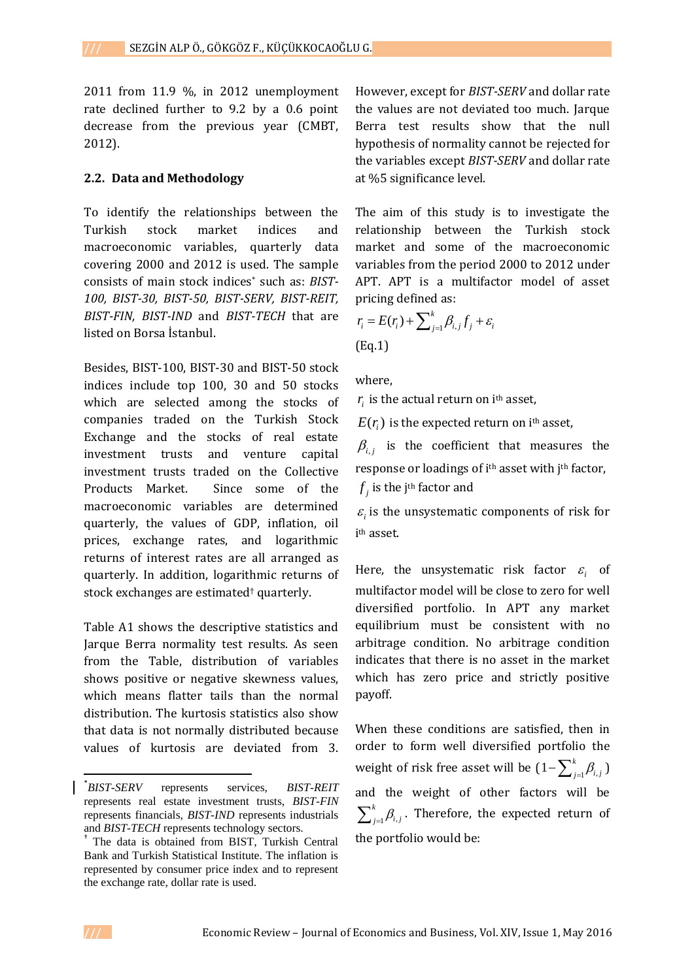2011 from 11.9 %, in 2012 unemployment rate declined further to 9.2 by a 0.6 point decrease from the previous year (CMBT, 2012).

#### **2.2. Data and Methodology**

To identify the relationships between the Turkish stock market indices and macroeconomic variables, quarterly data covering 2000 and 2012 is used. The sample consists of main stock indices\* such as: *BIST-100, BIST-30, BIST-50, BIST-SERV, BIST-REIT, BIST-FIN, BIST-IND* and *BIST-TECH* that are listed on Borsa İstanbul.

Besides, BIST-100, BIST-30 and BIST-50 stock indices include top 100, 30 and 50 stocks which are selected among the stocks of companies traded on the Turkish Stock Exchange and the stocks of real estate investment trusts and venture capital investment trusts traded on the Collective Products Market. Since some of the macroeconomic variables are determined quarterly, the values of GDP, inflation, oil prices, exchange rates, and logarithmic returns of interest rates are all arranged as quarterly. In addition, logarithmic returns of stock exchanges are estimated† quarterly.

Table A1 shows the descriptive statistics and Jarque Berra normality test results. As seen from the Table, distribution of variables shows positive or negative skewness values, which means flatter tails than the normal distribution. The kurtosis statistics also show that data is not normally distributed because values of kurtosis are deviated from 3. However, except for *BIST-SERV* and dollar rate the values are not deviated too much. Jarque Berra test results show that the null hypothesis of normality cannot be rejected for the variables except *BIST-SERV* and dollar rate at %5 significance level.

The aim of this study is to investigate the relationship between the Turkish stock market and some of the macroeconomic variables from the period 2000 to 2012 under APT. APT is a multifactor model of asset pricing defined as:

$$
r_i = E(r_i) + \sum_{j=1}^k \beta_{i,j} f_j + \varepsilon_i
$$
  
(Eq.1)

where,

 $r_i$  is the actual return on i<sup>th</sup> asset,

 $E(r_{\tilde{i}})$  is the expected return on i<sup>th</sup> asset,

 $\beta_{i,j}$  is the coefficient that measures the response or loadings of i<sup>th</sup> asset with j<sup>th</sup> factor,  $f_j$  is the j<sup>th</sup> factor and

 $\varepsilon$ <sub>i</sub> is the unsystematic components of risk for i th asset.

Here, the unsystematic risk factor  $\varepsilon_i$  of multifactor model will be close to zero for well diversified portfolio. In APT any market equilibrium must be consistent with no arbitrage condition. No arbitrage condition indicates that there is no asset in the market which has zero price and strictly positive payoff.

When these conditions are satisfied, then in order to form well diversified portfolio the weight of risk free asset will be  $(1{-}\sum_{j=1}^k \beta_{i,j})$  $-\sum_{j=1}^k \beta_{i,j}$  ) and the weight of other factors will be  $\mu_i$ *k*  $\sum_{j=1}^{k} \beta_{i,j}$ . Therefore, the expected return of the portfolio would be:

1

 $*$ BIST-SERV represents services, *BIST-REIT* represents real estate investment trusts, *BIST-FIN* represents financials, *BIST-IND* represents industrials and *BIST-TECH* represents technology sectors.

<sup>†</sup> The data is obtained from BIST, Turkish Central Bank and Turkish Statistical Institute. The inflation is represented by consumer price index and to represent the exchange rate, dollar rate is used.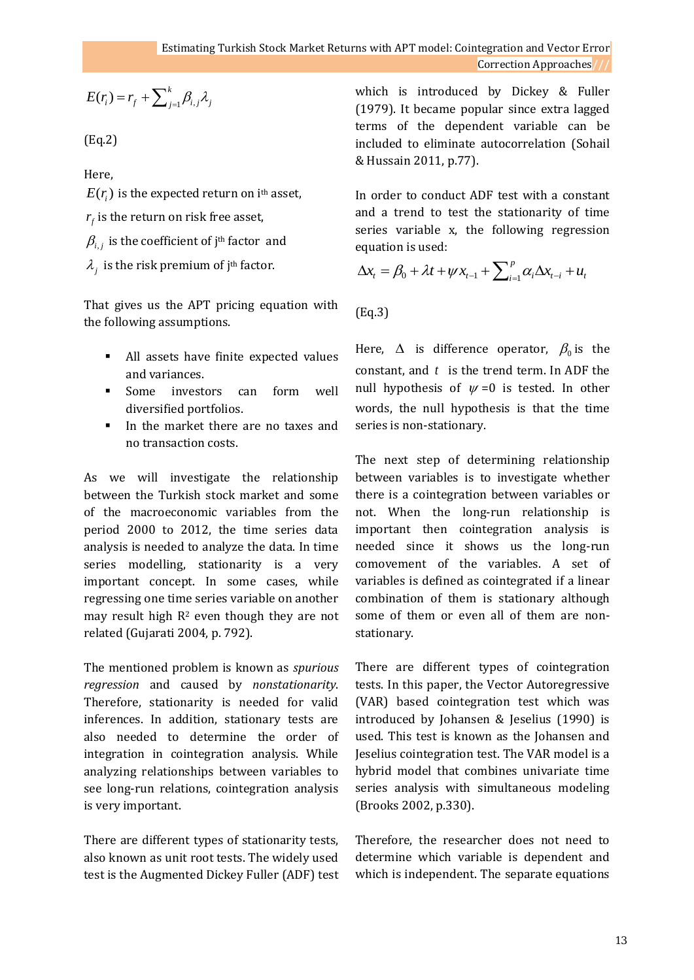$$
E(r_i) = r_f + \sum_{j=1}^k \beta_{i,j} \lambda_j
$$

(Eq.2)

Here,

 $E(r_i^{})$  is the expected return on i<sup>th</sup> asset,

 $r_f$  is the return on risk free asset,

 $\beta_{i,j}$  is the coefficient of j<sup>th</sup> factor  $% \beta_{i,j}$  and

 $\lambda_j^{\vphantom{\dagger}}$  is the risk premium of j<sup>th</sup> factor.

That gives us the APT pricing equation with the following assumptions.

- All assets have finite expected values and variances.
- **Some** investors can form well diversified portfolios.
- In the market there are no taxes and no transaction costs.

As we will investigate the relationship between the Turkish stock market and some of the macroeconomic variables from the period 2000 to 2012, the time series data analysis is needed to analyze the data. In time series modelling, stationarity is a very important concept. In some cases, while regressing one time series variable on another may result high R<sup>2</sup> even though they are not related (Gujarati 2004, p. 792).

The mentioned problem is known as *spurious regression* and caused by *nonstationarity*. Therefore, stationarity is needed for valid inferences. In addition, stationary tests are also needed to determine the order of integration in cointegration analysis. While analyzing relationships between variables to see long-run relations, cointegration analysis is very important.

There are different types of stationarity tests, also known as unit root tests. The widely used test is the Augmented Dickey Fuller (ADF) test which is introduced by Dickey & Fuller (1979). It became popular since extra lagged terms of the dependent variable can be included to eliminate autocorrelation (Sohail & Hussain 2011, p.77).

In order to conduct ADF test with a constant and a trend to test the stationarity of time series variable x, the following regression

equation is used:  
\n
$$
\Delta x_t = \beta_0 + \lambda t + \psi x_{t-1} + \sum_{i=1}^p \alpha_i \Delta x_{t-i} + u_t
$$

(Eq.3)

Here,  $\Delta$  is difference operator,  $\beta_0$  is the constant, and *t* is the trend term. In ADF the null hypothesis of  $\psi = 0$  is tested. In other words, the null hypothesis is that the time series is non-stationary.

The next step of determining relationship between variables is to investigate whether there is a cointegration between variables or not. When the long-run relationship is important then cointegration analysis is needed since it shows us the long-run comovement of the variables. A set of variables is defined as cointegrated if a linear combination of them is stationary although some of them or even all of them are nonstationary.

There are different types of cointegration tests. In this paper, the Vector Autoregressive (VAR) based cointegration test which was introduced by Johansen & Jeselius (1990) is used. This test is known as the Johansen and Jeselius cointegration test. The VAR model is a hybrid model that combines univariate time series analysis with simultaneous modeling (Brooks 2002, p.330).

Therefore, the researcher does not need to determine which variable is dependent and which is independent. The separate equations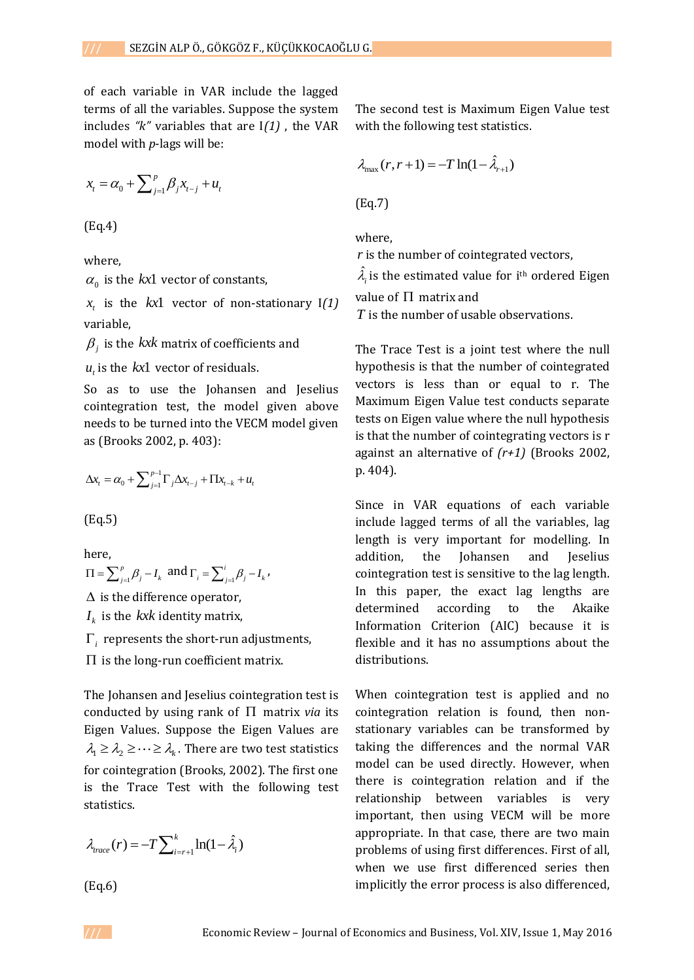of each variable in VAR include the lagged terms of all the variables. Suppose the system includes *"k"* variables that are I*(1)* , the VAR model with *p*-lags will be:

$$
x_t = \alpha_0 + \sum_{j=1}^p \beta_j x_{t-j} + u_t
$$

(Eq.4)

where,

 $\alpha_0$  is the *kx*1 vector of constants,

*t x* is the *kx*1 vector of non-stationary I*(1)* variable,

 $\beta_j$  is the  $\mathit{kxk}$  matrix of coefficients and

 $u_t$  is the  $kx1$  vector of residuals.

So as to use the Johansen and Jeselius cointegration test, the model given above needs to be turned into the VECM model given as (Brooks 2002, p. 403):

$$
\Delta x_{t} = \alpha_0 + \sum\nolimits_{j=1}^{p-1} \Gamma_j \Delta x_{t-j} + \Pi x_{t-k} + u_t
$$

(Eq.5)

here,

1  $\Pi = \sum_{j=1}^{p} \beta_j - I_k$  and  $\Gamma_i = \sum_{j=1}^{i}$  $\Gamma_i = \sum_{j=1}^i \beta_j - I_k$ 

 $\Delta$  is the difference operator,

 $I_k$  is the  $kxk$  identity matrix,

 $\Gamma_i$  represents the short-run adjustments,

 $\Pi$  is the long-run coefficient matrix.

The Johansen and Jeselius cointegration test is conducted by using rank of  $\Pi$  matrix *via* its Eigen Values. Suppose the Eigen Values are  $\lambda_1 \geq \lambda_2 \geq \cdots \geq \lambda_k$ . There are two test statistics for cointegration (Brooks, 2002). The first one is the Trace Test with the following test statistics.

$$
\lambda_{trace}(r) = -T \sum_{i=r+1}^{k} \ln(1-\hat{\lambda}_i)
$$

(Eq.6)

The second test is Maximum Eigen Value test with the following test statistics.

$$
\lambda_{\max}(r, r+1) = -T \ln(1 - \hat{\lambda}_{r+1})
$$

(Eq.7)

where,

*r* is the number of cointegrated vectors,

 $\hat{\lambda_i}$  is the estimated value for i<sup>th</sup> ordered Eigen value of  $\Pi$  matrix and

*T* is the number of usable observations.

The Trace Test is a joint test where the null hypothesis is that the number of cointegrated vectors is less than or equal to r. The Maximum Eigen Value test conducts separate tests on Eigen value where the null hypothesis is that the number of cointegrating vectors is r against an alternative of *(r+1)* (Brooks 2002, p. 404).

Since in VAR equations of each variable include lagged terms of all the variables, lag length is very important for modelling. In addition, the Johansen and Jeselius cointegration test is sensitive to the lag length. In this paper, the exact lag lengths are determined according to the Akaike Information Criterion (AIC) because it is flexible and it has no assumptions about the distributions.

When cointegration test is applied and no cointegration relation is found, then nonstationary variables can be transformed by taking the differences and the normal VAR model can be used directly. However, when there is cointegration relation and if the relationship between variables is very important, then using VECM will be more appropriate. In that case, there are two main problems of using first differences. First of all, when we use first differenced series then implicitly the error process is also differenced,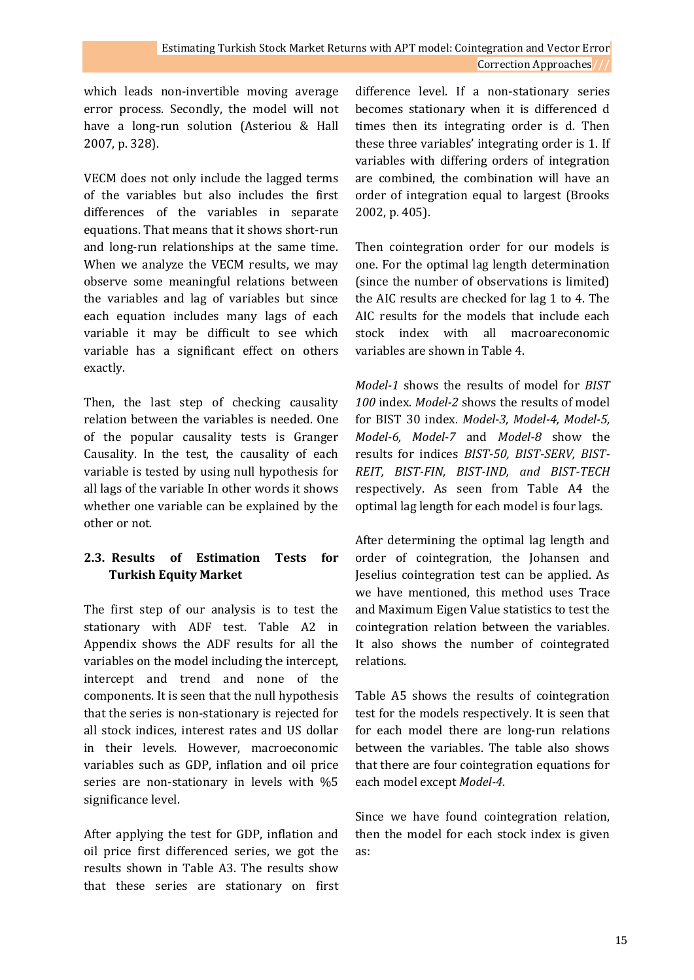which leads non-invertible moving average error process. Secondly, the model will not have a long-run solution (Asteriou & Hall 2007, p. 328).

VECM does not only include the lagged terms of the variables but also includes the first differences of the variables in separate equations. That means that it shows short-run and long-run relationships at the same time. When we analyze the VECM results, we may observe some meaningful relations between the variables and lag of variables but since each equation includes many lags of each variable it may be difficult to see which variable has a significant effect on others exactly.

Then, the last step of checking causality relation between the variables is needed. One of the popular causality tests is Granger Causality. In the test, the causality of each variable is tested by using null hypothesis for all lags of the variable In other words it shows whether one variable can be explained by the other or not.

# **2.3. Results of Estimation Tests for Turkish Equity Market**

The first step of our analysis is to test the stationary with ADF test. Table A2 in Appendix shows the ADF results for all the variables on the model including the intercept, intercept and trend and none of the components. It is seen that the null hypothesis that the series is non-stationary is rejected for all stock indices, interest rates and US dollar in their levels. However, macroeconomic variables such as GDP, inflation and oil price series are non-stationary in levels with %5 significance level.

After applying the test for GDP, inflation and oil price first differenced series, we got the results shown in Table A3. The results show that these series are stationary on first

difference level. If a non-stationary series becomes stationary when it is differenced d times then its integrating order is d. Then these three variables' integrating order is 1. If variables with differing orders of integration are combined, the combination will have an order of integration equal to largest (Brooks 2002, p. 405).

Then cointegration order for our models is one. For the optimal lag length determination (since the number of observations is limited) the AIC results are checked for lag 1 to 4. The AIC results for the models that include each stock index with all macroareconomic variables are shown in Table 4.

*Model-1* shows the results of model for *BIST 100* index. *Model-2* shows the results of model for BIST 30 index. *Model-3, Model-4, Model-5, Model-6, Model-7* and *Model-8* show the results for indices *BIST-50, BIST-SERV, BIST-REIT, BIST-FIN, BIST-IND, and BIST-TECH* respectively. As seen from Table A4 the optimal lag length for each model is four lags.

After determining the optimal lag length and order of cointegration, the Johansen and Jeselius cointegration test can be applied. As we have mentioned, this method uses Trace and Maximum Eigen Value statistics to test the cointegration relation between the variables. It also shows the number of cointegrated relations.

Table A5 shows the results of cointegration test for the models respectively. It is seen that for each model there are long-run relations between the variables. The table also shows that there are four cointegration equations for each model except *Model-4*.

Since we have found cointegration relation, then the model for each stock index is given as: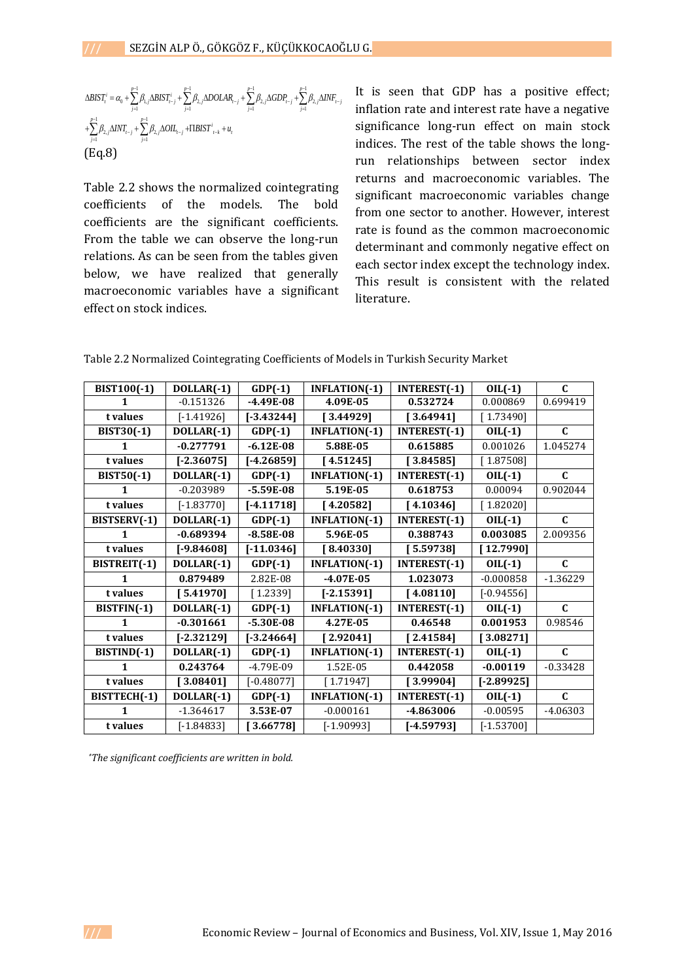$$
\Delta BIST_{i}^{i} = \alpha_{0} + \sum_{j=1}^{p-1} \beta_{i,j} \Delta BIST_{i-j}^{i} + \sum_{j=1}^{p-1} \beta_{2,j} \Delta DOLAR_{i-j} + \sum_{j=1}^{p-1} \beta_{2,j} \Delta GDP_{i-j} + \sum_{j=1}^{p-1} \beta_{2,j} \Delta INFO_{i-j} + \sum_{j=1}^{p-1} \beta_{2,j} \Delta INFO_{i-j} + \sum_{j=1}^{p-1} \beta_{2,j} \Delta DIL_{i-j} + \text{IBIST}_{i-k}^{i} + u_{i}
$$
\n
$$
+ \sum_{j=1}^{p-1} \beta_{2,j} \Delta INT_{i-j} + \sum_{j=1}^{p-1} \beta_{2,j} \Delta OIL_{i-j} + \text{IBIST}_{i-k}^{i} + u_{i}
$$
\n
$$
\text{in}
$$
\n
$$
[Eq.8]
$$

Table 2.2 shows the normalized cointegrating coefficients of the models. The bold coefficients are the significant coefficients. From the table we can observe the long-run relations. As can be seen from the tables given below, we have realized that generally macroeconomic variables have a significant effect on stock indices.

It is seen that GDP has a positive effect; inflation rate and interest rate have a negative significance long-run effect on main stock indices. The rest of the table shows the longrun relationships between sector index returns and macroeconomic variables. The significant macroeconomic variables change from one sector to another. However, interest rate is found as the common macroeconomic determinant and commonly negative effect on each sector index except the technology index. This result is consistent with the related literature.

| <b>BIST100(-1)</b> | $DOLLAR(-1)$ | $GDP(-1)$    | INFLATION(-1)        | INTEREST(-1)                     | $OIL(-1)$    | C            |
|--------------------|--------------|--------------|----------------------|----------------------------------|--------------|--------------|
| 1                  | $-0.151326$  | $-4.49E-08$  | 4.09E-05             | 0.532724                         | 0.000869     | 0.699419     |
| t values           | $[-1.41926]$ | $[-3.43244]$ | [3.44929]            | [3.64941]                        | [1.73490]    |              |
| $BIST30(-1)$       | $DOLLAR(-1)$ | $GDP(-1)$    | <b>INFLATION(-1)</b> | <b>INTEREST(-1)</b>              | $OIL(-1)$    | $\mathbf{C}$ |
| 1                  | $-0.277791$  | $-6.12E-08$  | 5.88E-05             | 0.615885                         | 0.001026     | 1.045274     |
| t values           | $[-2.36075]$ | $[-4.26859]$ | [4.51245]            | [3.84585]                        | [1.87508]    |              |
| $BIST50(-1)$       | $DOLLAR(-1)$ | $GDP(-1)$    | INFLATION(-1)        | INTEREST(-1)                     | $OIL(-1)$    | $\mathbf C$  |
| 1                  | $-0.203989$  | $-5.59E-08$  | 5.19E-05             | 0.618753                         | 0.00094      | 0.902044     |
| t values           | $[-1.83770]$ | $[-4.11718]$ | [4.20582]            | [4.10346]                        | [1.82020]    |              |
| BISTSERV(-1)       | DOLLAR(-1)   | $GDP(-1)$    | INFLATION(-1)        | $\overline{\text{INTEREST}}(-1)$ | $OIL(-1)$    | $\mathbf{C}$ |
| $\mathbf{1}$       | $-0.689394$  | $-8.58E-08$  | 5.96E-05             | 0.388743                         | 0.003085     | 2.009356     |
| t values           | $[-9.84608]$ | $[-11.0346]$ | [8.40330]            | [5.59738]                        | [12.7990]    |              |
|                    |              |              |                      |                                  |              |              |
| BISTREIT(-1)       | DOLLAR(-1)   | $GDP(-1)$    | <b>INFLATION(-1)</b> | INTEREST(-1)                     | $OIL(-1)$    | $\mathbf{C}$ |
| 1                  | 0.879489     | 2.82E-08     | $-4.07E-05$          | 1.023073                         | $-0.000858$  | $-1.36229$   |
| t values           | [5.41970]    | [1.2339]     | $[-2.15391]$         | [4.08110]                        | $[-0.94556]$ |              |
| $BISTFIN(-1)$      | $DOLLAR(-1)$ | $GDP(-1)$    | <b>INFLATION(-1)</b> | <b>INTEREST(-1)</b>              | $OIL(-1)$    | $\mathbf{C}$ |
| 1                  | $-0.301661$  | $-5.30E-08$  | 4.27E-05             | 0.46548                          | 0.001953     | 0.98546      |
| t values           | $[-2.32129]$ | $[-3.24664]$ | [2.92041]            | [2.41584]                        | [3.08271]    |              |
| BISTIND(-1)        | $DOLLAR(-1)$ | $GDP(-1)$    | INFLATION(-1)        | INTEREST(-1)                     | $OIL(-1)$    | $\mathbf{C}$ |
| 1                  | 0.243764     | -4.79E-09    | 1.52E-05             | 0.442058                         | $-0.00119$   | $-0.33428$   |
| t values           | [3.08401]    | $[-0.48077]$ | [1.71947]            | [3.99904]                        | $[-2.89925]$ |              |
| BISTTECH(-1)       | $DOLLAR(-1)$ | $GDP(-1)$    | INFLATION(-1)        | INTEREST(-1)                     | $OIL(-1)$    | $\mathbf{C}$ |
| 1                  | $-1.364617$  | 3.53E-07     | $-0.000161$          | -4.863006                        | $-0.00595$   | $-4.06303$   |

Table 2.2 Normalized Cointegrating Coefficients of Models in Turkish Security Market

 *\*The significant coefficients are written in bold.*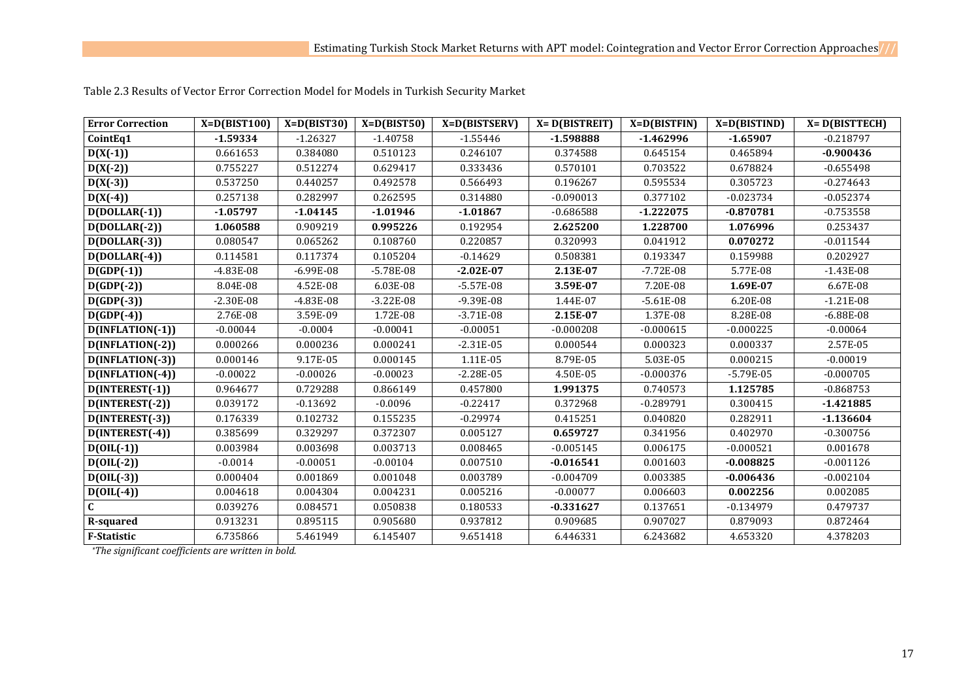| <b>Error Correction</b> | $X=D(BIST100)$                   | $X=D(BIST30)$        | $X=D(BIST50)$        | $X=D(BISTSERV)$ | $X = D(BISTREIT)$ | $X=D(BISTFIN)$ | $X=D(BISTIND)$ | $X = D(BISTTECH)$ |
|-------------------------|----------------------------------|----------------------|----------------------|-----------------|-------------------|----------------|----------------|-------------------|
| CointEq1                | $-1.59334$                       | $-1.26327$           | $-1.40758$           | $-1.55446$      | $-1.598888$       | $-1.462996$    | $-1.65907$     | $-0.218797$       |
| $D(X(-1))$              | 0.661653                         | 0.384080             | 0.510123             | 0.246107        | 0.374588          | 0.645154       | 0.465894       | $-0.900436$       |
| $D(X(-2))$              | 0.755227                         | 0.512274             | 0.629417             | 0.333436        | 0.570101          | 0.703522       | 0.678824       | $-0.655498$       |
| $D(X(-3))$              | 0.537250                         | 0.440257             | 0.492578<br>0.566493 |                 | 0.196267          | 0.595534       | 0.305723       | $-0.274643$       |
| $D(X(-4))$              | 0.257138                         | 0.282997             | 0.262595             | 0.314880        | $-0.090013$       | 0.377102       | $-0.023734$    | $-0.052374$       |
| $D(DOLLAR(-1))$         | $-1.05797$                       | $-1.04145$           | $-1.01946$           | $-1.01867$      | $-0.686588$       | $-1.222075$    | $-0.870781$    | $-0.753558$       |
| $D(DOLLAR(-2))$         | 1.060588                         | 0.909219             | 0.995226             | 0.192954        | 2.625200          | 1.228700       | 1.076996       | 0.253437          |
| $D(DOLLAR(-3))$         | 0.080547                         | 0.065262             | 0.108760             | 0.220857        | 0.320993          | 0.041912       | 0.070272       | $-0.011544$       |
| $D(DOLLAR(-4))$         | 0.114581                         | 0.117374             | 0.105204             | $-0.14629$      | 0.508381          | 0.193347       | 0.159988       | 0.202927          |
| $D(GDP(-1))$            | $-4.83E-08$                      | $-6.99E-08$          | $-5.78E-08$          | $-2.02E-07$     | 2.13E-07          | $-7.72E-08$    | 5.77E-08       | $-1.43E-08$       |
| $D(GDP(-2))$            | 8.04E-08                         | 4.52E-08             | 6.03E-08             | $-5.57E-08$     | 3.59E-07          | 7.20E-08       | 1.69E-07       | 6.67E-08          |
| $D(GDP(-3))$            | $-2.30E-08$                      | $-4.83E-08$          | $-3.22E-08$          | $-9.39E-08$     | 1.44E-07          | $-5.61E-08$    | 6.20E-08       | $-1.21E-08$       |
| $D(GDP(-4))$            | 2.76E-08                         | 3.59E-09             | 1.72E-08             | $-3.71E-08$     | 2.15E-07          | 1.37E-08       | 8.28E-08       | $-6.88E-08$       |
| $D(INFLATION(-1))$      | $-0.00044$                       | $-0.0004$            | $-0.00041$           | $-0.00051$      | $-0.000208$       | $-0.000615$    | $-0.000225$    | $-0.00064$        |
| D(INFLATION(-2))        | 0.000266                         | 0.000236             | 0.000241             | $-2.31E-05$     | 0.000544          | 0.000323       | 0.000337       | 2.57E-05          |
| D(INFLATION(-3))        | 0.000146                         | 9.17E-05             | 0.000145             | 1.11E-05        | 8.79E-05          | 5.03E-05       | 0.000215       | $-0.00019$        |
| $D(INFLATION(-4))$      | $-0.00022$                       | $-0.00026$           | $-0.00023$           | $-2.28E - 05$   | 4.50E-05          | $-0.000376$    | $-5.79E-05$    | $-0.000705$       |
| D(INTEREST(-1))         | 0.964677                         | 0.729288             | 0.866149             | 0.457800        | 1.991375          | 0.740573       | 1.125785       | $-0.868753$       |
| D(INTEREST(-2))         | 0.039172                         | $-0.13692$           | $-0.0096$            | $-0.22417$      | 0.372968          | $-0.289791$    | 0.300415       | $-1.421885$       |
| D(INTEREST(-3))         | 0.176339                         | 0.102732             | 0.155235             | $-0.29974$      | 0.415251          | 0.040820       | 0.282911       | $-1.136604$       |
| D(INTEREST(-4))         | 0.385699                         | 0.329297             | 0.372307             | 0.005127        | 0.659727          | 0.341956       | 0.402970       | $-0.300756$       |
| $D(OIL(-1))$            | 0.003984                         | 0.003698             | 0.003713             | 0.008465        | $-0.005145$       | 0.006175       | $-0.000521$    | 0.001678          |
| $D(OIL(-2))$            | $-0.0014$                        | $-0.00051$           | $-0.00104$           | 0.007510        | $-0.016541$       | 0.001603       | $-0.008825$    | $-0.001126$       |
| $D(OIL(-3))$            | 0.000404                         | 0.001869             | 0.001048             | 0.003789        | $-0.004709$       | 0.003385       | $-0.006436$    | $-0.002104$       |
| $D(OIL(-4))$            | 0.004618                         | 0.004304<br>0.004231 |                      | 0.005216        | $-0.00077$        | 0.006603       | 0.002256       | 0.002085          |
| $\mathbf{C}$            | 0.039276                         | 0.084571<br>0.050838 |                      | 0.180533        | $-0.331627$       | 0.137651       | $-0.134979$    | 0.479737          |
| <b>R-squared</b>        | 0.913231                         | 0.895115             | 0.905680             | 0.937812        | 0.909685          | 0.907027       | 0.879093       | 0.872464          |
| <b>F-Statistic</b>      | 6.735866<br>5.461949<br>6.145407 |                      | 9.651418             | 6.446331        | 6.243682          | 4.653320       | 4.378203       |                   |

Table 2.3 Results of Vector Error Correction Model for Models in Turkish Security Market

*\*The significant coefficients are written in bold.*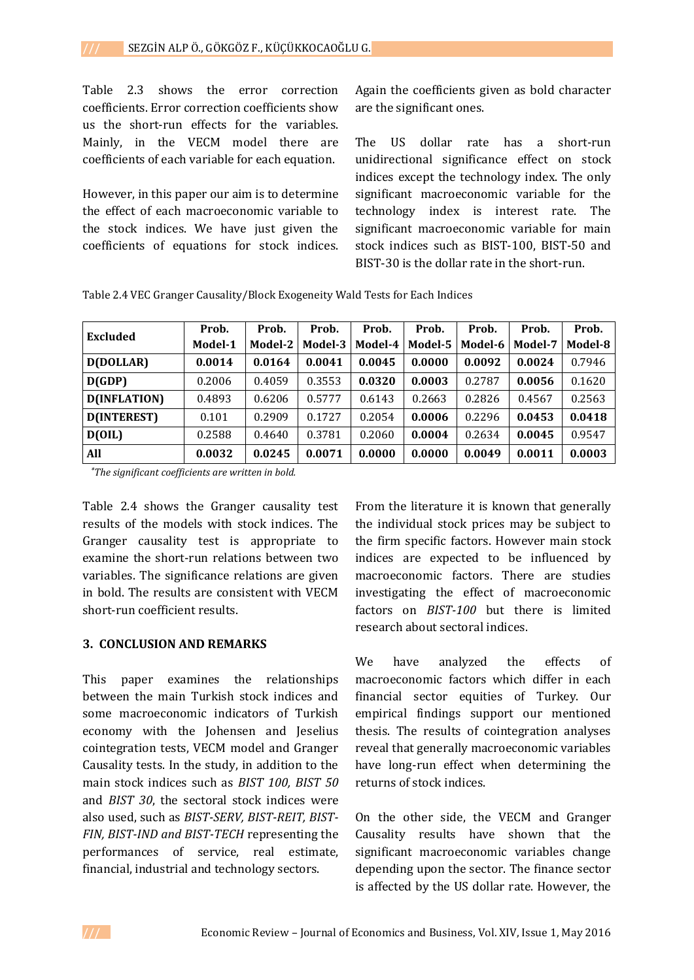Table 2.3 shows the error correction coefficients. Error correction coefficients show us the short-run effects for the variables. Mainly, in the VECM model there are coefficients of each variable for each equation.

However, in this paper our aim is to determine the effect of each macroeconomic variable to the stock indices. We have just given the coefficients of equations for stock indices. Again the coefficients given as bold character are the significant ones.

The US dollar rate has a short-run unidirectional significance effect on stock indices except the technology index. The only significant macroeconomic variable for the technology index is interest rate. The significant macroeconomic variable for main stock indices such as BIST-100, BIST-50 and BIST-30 is the dollar rate in the short-run.

| <b>Excluded</b> | Prob.   | Prob.   | Prob.   | Prob.   | Prob.   | Prob.   | Prob.   | Prob.   |
|-----------------|---------|---------|---------|---------|---------|---------|---------|---------|
|                 | Model-1 | Model-2 | Model-3 | Model-4 | Model-5 | Model-6 | Model-7 | Model-8 |
| D(DOLLAR)       | 0.0014  | 0.0164  | 0.0041  | 0.0045  | 0.0000  | 0.0092  | 0.0024  | 0.7946  |
| D(GDP)          | 0.2006  | 0.4059  | 0.3553  | 0.0320  | 0.0003  | 0.2787  | 0.0056  | 0.1620  |
| D(INFLATION)    | 0.4893  | 0.6206  | 0.5777  | 0.6143  | 0.2663  | 0.2826  | 0.4567  | 0.2563  |
| D(INTEREST)     | 0.101   | 0.2909  | 0.1727  | 0.2054  | 0.0006  | 0.2296  | 0.0453  | 0.0418  |
| D(OIL)          | 0.2588  | 0.4640  | 0.3781  | 0.2060  | 0.0004  | 0.2634  | 0.0045  | 0.9547  |
| All             | 0.0032  | 0.0245  | 0.0071  | 0.0000  | 0.0000  | 0.0049  | 0.0011  | 0.0003  |

Table 2.4 VEC Granger Causality/Block Exogeneity Wald Tests for Each Indices

*\*The significant coefficients are written in bold.*

Table 2.4 shows the Granger causality test results of the models with stock indices. The Granger causality test is appropriate to examine the short-run relations between two variables. The significance relations are given in bold. The results are consistent with VECM short-run coefficient results.

### **3. CONCLUSION AND REMARKS**

This paper examines the relationships between the main Turkish stock indices and some macroeconomic indicators of Turkish economy with the Johensen and Jeselius cointegration tests, VECM model and Granger Causality tests. In the study, in addition to the main stock indices such as *BIST 100, BIST 50* and *BIST 30*, the sectoral stock indices were also used, such as *BIST-SERV, BIST-REIT, BIST-FIN, BIST-IND and BIST-TECH* representing the performances of service, real estimate, financial, industrial and technology sectors.

From the literature it is known that generally the individual stock prices may be subject to the firm specific factors. However main stock indices are expected to be influenced by macroeconomic factors. There are studies investigating the effect of macroeconomic factors on *BIST-100* but there is limited research about sectoral indices.

We have analyzed the effects of macroeconomic factors which differ in each financial sector equities of Turkey. Our empirical findings support our mentioned thesis. The results of cointegration analyses reveal that generally macroeconomic variables have long-run effect when determining the returns of stock indices.

On the other side, the VECM and Granger Causality results have shown that the significant macroeconomic variables change depending upon the sector. The finance sector is affected by the US dollar rate. However, the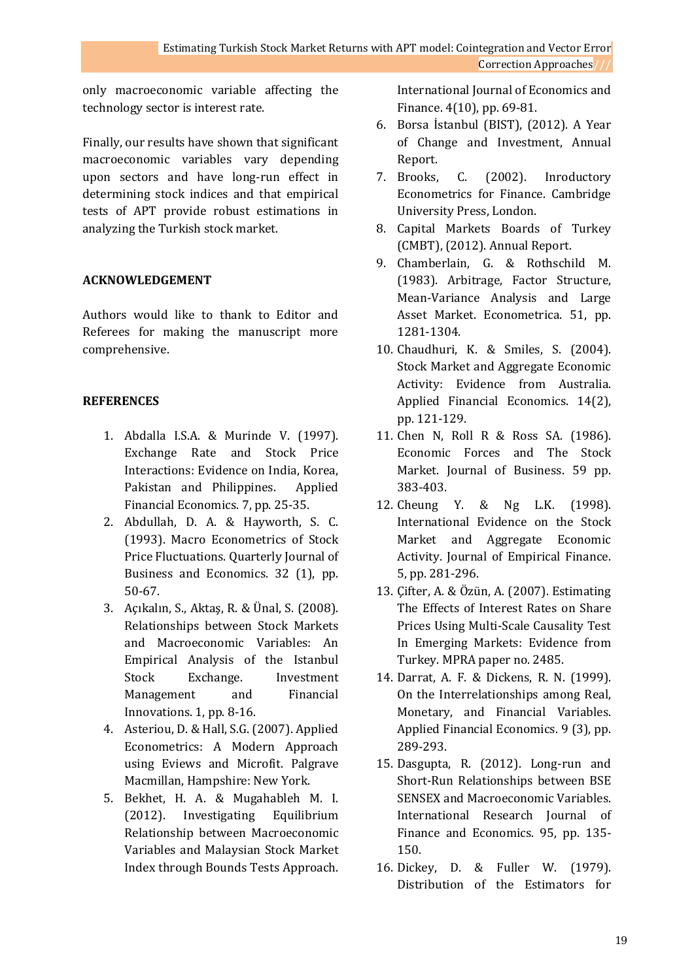only macroeconomic variable affecting the technology sector is interest rate.

Finally, our results have shown that significant macroeconomic variables vary depending upon sectors and have long-run effect in determining stock indices and that empirical tests of APT provide robust estimations in analyzing the Turkish stock market.

### **ACKNOWLEDGEMENT**

Authors would like to thank to Editor and Referees for making the manuscript more comprehensive.

# **REFERENCES**

- 1. Abdalla I.S.A. & Murinde V. (1997). Exchange Rate and Stock Price Interactions: Evidence on India, Korea, Pakistan and Philippines. Applied Financial Economics. 7, pp. 25-35.
- 2. Abdullah, D. A. & Hayworth, S. C. (1993). Macro Econometrics of Stock Price Fluctuations. Quarterly Journal of Business and Economics. 32 (1), pp. 50-67.
- 3. Açıkalın, S., Aktaş, R. & Ünal, S. (2008). Relationships between Stock Markets and Macroeconomic Variables: An Empirical Analysis of the Istanbul Stock Exchange. Investment Management and Financial Innovations. 1, pp. 8-16.
- 4. Asteriou, D. & Hall, S.G. (2007). Applied Econometrics: A Modern Approach using Eviews and Microfit. Palgrave Macmillan, Hampshire: New York.
- 5. Bekhet, H. A. & Mugahableh M. I. (2012). Investigating Equilibrium Relationship between Macroeconomic Variables and Malaysian Stock Market Index through Bounds Tests Approach.

International Journal of Economics and Finance. 4(10), pp. 69-81.

- 6. Borsa İstanbul (BIST), (2012). A Year of Change and Investment, Annual Report.
- 7. Brooks, C. (2002). Inroductory Econometrics for Finance. Cambridge University Press, London.
- 8. Capital Markets Boards of Turkey (CMBT), (2012). Annual Report.
- 9. Chamberlain, G. & Rothschild M. (1983). Arbitrage, Factor Structure, Mean-Variance Analysis and Large Asset Market. Econometrica. 51, pp. 1281-1304.
- 10. Chaudhuri, K. & Smiles, S. (2004). Stock Market and Aggregate Economic Activity: Evidence from Australia. Applied Financial Economics. 14(2), pp. 121-129.
- 11. Chen N, Roll R & Ross SA. (1986). Economic Forces and The Stock Market. Journal of Business. 59 pp. 383-403.
- 12. Cheung Y. & Ng L.K. (1998). International Evidence on the Stock Market and Aggregate Economic Activity. Journal of Empirical Finance. 5, pp. 281-296.
- 13. Çifter, A. & Özün, A. (2007). Estimating The Effects of Interest Rates on Share Prices Using Multi-Scale Causality Test In Emerging Markets: Evidence from Turkey. MPRA paper no. 2485.
- 14. Darrat, A. F. & Dickens, R. N. (1999). On the Interrelationships among Real, Monetary, and Financial Variables. Applied Financial Economics. 9 (3), pp. 289-293.
- 15. Dasgupta, R. (2012). Long-run and Short-Run Relationships between BSE SENSEX and Macroeconomic Variables. International Research Journal of Finance and Economics. 95, pp. 135- 150.
- 16. Dickey, D. & Fuller W. (1979). Distribution of the Estimators for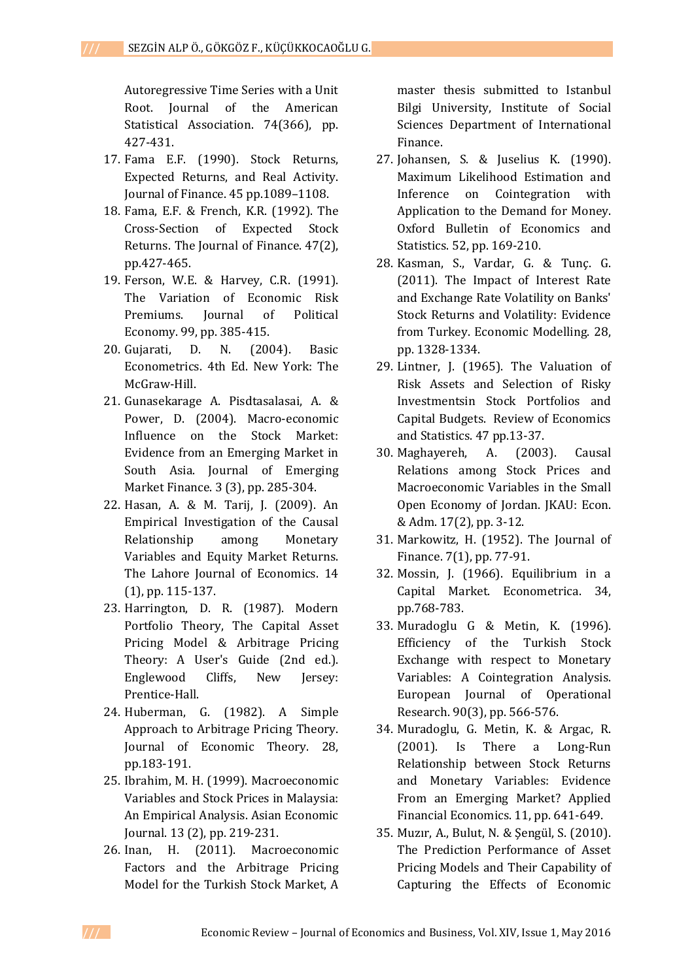Autoregressive Time Series with a Unit Root. Journal of the American Statistical Association. 74(366), pp. 427-431.

- 17. Fama E.F. (1990). Stock Returns, Expected Returns, and Real Activity. Journal of Finance. 45 pp.1089–1108.
- 18. Fama, E.F. & French, K.R. (1992). The Cross-Section of Expected Stock Returns. The Journal of Finance. 47(2), pp.427-465.
- 19. Ferson, W.E. & Harvey, C.R. (1991). The Variation of Economic Risk Premiums. Journal of Political Economy. 99, pp. 385-415.
- 20. Gujarati, D. N. (2004). Basic Econometrics. 4th Ed. New York: The McGraw-Hill.
- 21. Gunasekarage A. Pisdtasalasai, A. & Power, D. (2004). Macro-economic Influence on the Stock Market: Evidence from an Emerging Market in South Asia. Journal of Emerging Market Finance. 3 (3), pp. 285-304.
- 22. Hasan, A. & M. Tarij, J. (2009). An Empirical Investigation of the Causal Relationship among Monetary Variables and Equity Market Returns. The Lahore Journal of Economics. 14 (1), pp. 115-137.
- 23. Harrington, D. R. (1987). Modern Portfolio Theory, The Capital Asset Pricing Model & Arbitrage Pricing Theory: A User's Guide (2nd ed.). Englewood Cliffs, New Jersey: Prentice-Hall.
- 24. Huberman, G. (1982). A Simple Approach to Arbitrage Pricing Theory. Journal of Economic Theory. 28, pp.183-191.
- 25. Ibrahim, M. H. (1999). Macroeconomic Variables and Stock Prices in Malaysia: An Empirical Analysis. Asian Economic Journal. 13 (2), pp. 219-231.
- 26. Inan, H. (2011). Macroeconomic Factors and the Arbitrage Pricing Model for the Turkish Stock Market, A

master thesis submitted to Istanbul Bilgi University, Institute of Social Sciences Department of International Finance.

- 27. Johansen, S. & Juselius K. (1990). Maximum Likelihood Estimation and Inference on Cointegration with Application to the Demand for Money. Oxford Bulletin of Economics and Statistics. 52, pp. 169-210.
- 28. Kasman, S., Vardar, G. & Tunç. G. (2011). The Impact of Interest Rate and Exchange Rate Volatility on Banks' Stock Returns and Volatility: Evidence from Turkey. Economic Modelling. 28, pp. 1328-1334.
- 29. Lintner, J. (1965). The Valuation of Risk Assets and Selection of Risky Investmentsin Stock Portfolios and Capital Budgets. Review of Economics and Statistics. 47 pp.13-37.
- 30. Maghayereh, A. (2003). Causal Relations among Stock Prices and Macroeconomic Variables in the Small Open Economy of Jordan. JKAU: Econ. & Adm. 17(2), pp. 3-12.
- 31. Markowitz, H. (1952). The Journal of Finance. 7(1), pp. 77-91.
- 32. Mossin, J. (1966). Equilibrium in a Capital Market. Econometrica. 34, pp.768-783.
- 33. Muradoglu G & Metin, K. (1996). Efficiency of the Turkish Stock Exchange with respect to Monetary Variables: A Cointegration Analysis. European Journal of Operational Research. 90(3), pp. 566-576.
- 34. Muradoglu, G. Metin, K. & Argac, R. (2001). Is There a Long-Run Relationship between Stock Returns and Monetary Variables: Evidence From an Emerging Market? Applied Financial Economics. 11, pp. 641-649.
- 35. Muzır, A., Bulut, N. & Şengül, S. (2010). The Prediction Performance of Asset Pricing Models and Their Capability of Capturing the Effects of Economic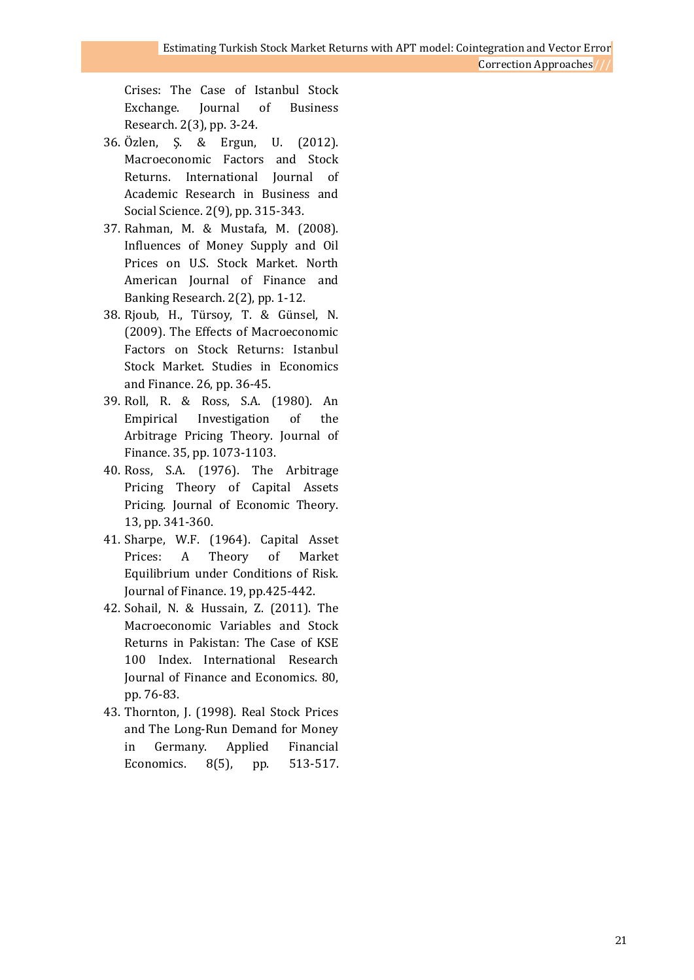Crises: The Case of Istanbul Stock Exchange. Journal of Business Research. 2(3), pp. 3-24.

- 36. Özlen, Ş. & Ergun, U. (2012). Macroeconomic Factors and Stock Returns. International Iournal of Academic Research in Business and Social Science. 2(9), pp. 315-343.
- 37. Rahman, M. & Mustafa, M. (2008). Influences of Money Supply and Oil Prices on U.S. Stock Market. North American Journal of Finance and Banking Research. 2(2), pp. 1-12.
- 38. Rjoub, H., Türsoy, T. & Günsel, N. (2009). The Effects of Macroeconomic Factors on Stock Returns: Istanbul Stock Market. Studies in Economics and Finance. 26, pp. 36-45.
- 39. Roll, R. & Ross, S.A. (1980). An Empirical Investigation of the Arbitrage Pricing Theory. Journal of Finance. 35, pp. 1073-1103.
- 40. Ross, S.A. (1976). The Arbitrage Pricing Theory of Capital Assets Pricing. Journal of Economic Theory. 13, pp. 341-360.
- 41. Sharpe, W.F. (1964). Capital Asset Prices: A Theory of Market Equilibrium under Conditions of Risk. Journal of Finance. 19, pp.425-442.
- 42. Sohail, N. & Hussain, Z. (2011). The Macroeconomic Variables and Stock Returns in Pakistan: The Case of KSE 100 Index. International Research Journal of Finance and Economics. 80, pp. 76-83.
- 43. Thornton, J. (1998). Real Stock Prices and The Long-Run Demand for Money in Germany. Applied Financial Economics. 8(5), pp. 513-517.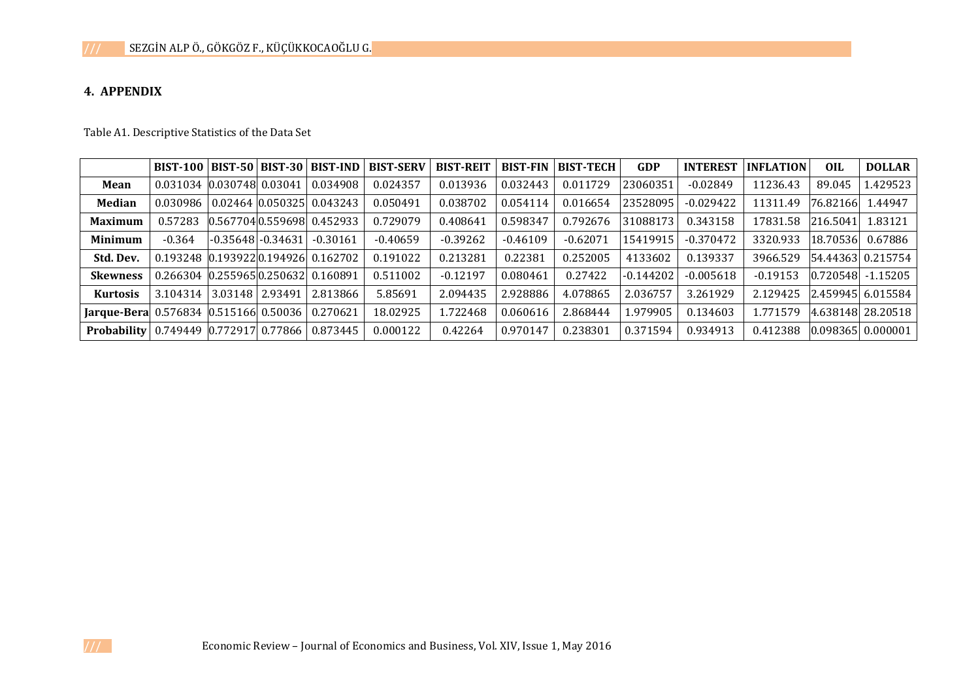# **4. APPENDIX**

Table A1. Descriptive Statistics of the Data Set

|                                       |                           |                   |                      | <b>BIST-100   BIST-50   BIST-30   BIST-IND  </b> | <b>BIST-SERV</b> | <b>BIST-REIT</b> | <b>BIST-FIN</b> | <b>BIST-TECH</b> | <b>GDP</b>  | <b>INTEREST</b> | <b>INFLATION</b> | <b>OIL</b> | <b>DOLLAR</b>      |
|---------------------------------------|---------------------------|-------------------|----------------------|--------------------------------------------------|------------------|------------------|-----------------|------------------|-------------|-----------------|------------------|------------|--------------------|
| <b>Mean</b>                           | 0.031034 0.030748 0.03041 |                   |                      | 0.034908                                         | 0.024357         | 0.013936         | 0.032443        | 0.011729         | 23060351    | $-0.02849$      | 11236.43         | 89.045     | 1.429523           |
| <b>Median</b>                         |                           |                   |                      | 0.030986   0.02464   0.050325   0.043243         | 0.050491         | 0.038702         | 0.054114        | 0.016654         | 23528095    | $-0.029422$     | 11311.49         | 76.82166   | 1.44947            |
| <b>Maximum</b>                        | 0.57283                   |                   |                      | 0.5677040.559698 0.452933                        | 0.729079         | 0.408641         | 0.598347        | 0.792676         | 31088173    | 0.343158        | 17831.58         | 216.5041   | 1.83121            |
| <b>Minimum</b>                        | $-0.364$                  |                   | $-0.35648[-0.34631]$ | $-0.30161$                                       | $-0.40659$       | $-0.39262$       | $-0.46109$      | $-0.62071$       | 15419915    | $-0.370472$     | 3320.933         | 18.70536   | 0.67886            |
| Std. Dev.                             |                           |                   |                      | 0.193248 0.193922 0.194926 0.162702              | 0.191022         | 0.213281         | 0.22381         | 0.252005         | 4133602     | 0.139337        | 3966.529         |            | 54.44363  0.215754 |
| <b>Skewness</b>                       |                           |                   |                      | 0.266304 0.2559650.250632 0.160891               | 0.511002         | $-0.12197$       | 0.080461        | 0.27422          | $-0.144202$ | $-0.005618$     | $-0.19153$       | 0.720548   | $-1.15205$         |
| <b>Kurtosis</b>                       | 3.104314                  | 3.03148   2.93491 |                      | 2.813866                                         | 5.85691          | 2.094435         | 2.928886        | 4.078865         | 2.036757    | 3.261929        | 2.129425         |            | 2.459945  6.015584 |
| Jarque-Bera 0.576834 0.515166 0.50036 |                           |                   |                      | 0.270621                                         | 18.02925         | l.722468         | 0.060616        | 2.868444         | 1.979905    | 0.134603        | 1.771579         |            | 4.638148 28.20518  |
| <b>Probability</b>                    | 0.749449 0.772917 0.77866 |                   |                      | 0.873445                                         | 0.000122         | 0.42264          | 0.970147        | 0.238301         | 0.371594    | 0.934913        | 0.412388         |            | 0.098365 0.000001  |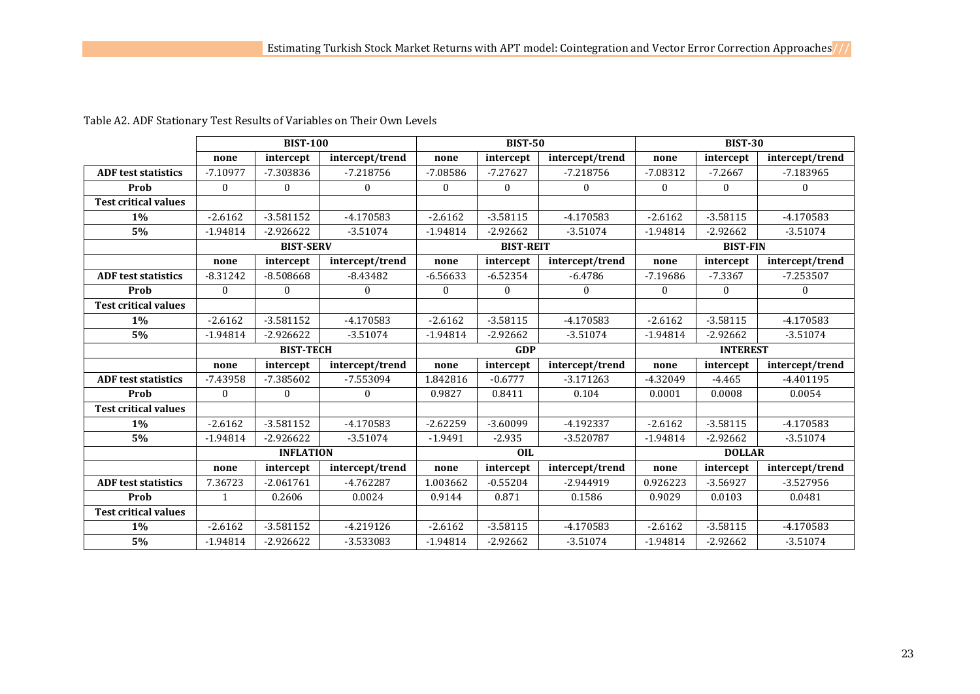| Table A2. ADF Stationary Test Results of Variables on Their Own Levels |  |  |  |
|------------------------------------------------------------------------|--|--|--|
|------------------------------------------------------------------------|--|--|--|

|                             |                           | <b>BIST-100</b>  |                 |                  | <b>BIST-50</b>   |                 |              | <b>BIST-30</b>  |                 |
|-----------------------------|---------------------------|------------------|-----------------|------------------|------------------|-----------------|--------------|-----------------|-----------------|
|                             | none                      | intercept        | intercept/trend | none             | intercept        | intercept/trend | none         | intercept       | intercept/trend |
| <b>ADF</b> test statistics  | $-7.10977$                | -7.303836        | $-7.218756$     | $-7.08586$       | $-7.27627$       | $-7.218756$     | $-7.08312$   | $-7.2667$       | $-7.183965$     |
| Prob                        | $\theta$                  | $\mathbf{0}$     | $\mathbf{0}$    | $\mathbf{0}$     | $\mathbf{0}$     | $\overline{0}$  | $\mathbf{0}$ | $\mathbf{0}$    | $\mathbf{0}$    |
| <b>Test critical values</b> |                           |                  |                 |                  |                  |                 |              |                 |                 |
| $1\%$                       | $-2.6162$                 | $-3.581152$      | -4.170583       | $-2.6162$        | $-3.58115$       | -4.170583       | $-2.6162$    | $-3.58115$      | -4.170583       |
| 5%                          | $-1.94814$                | $-2.926622$      | $-3.51074$      | $-1.94814$       | $-2.92662$       | $-3.51074$      | $-1.94814$   | $-2.92662$      | $-3.51074$      |
|                             |                           | <b>BIST-SERV</b> |                 |                  | <b>BIST-REIT</b> |                 |              | <b>BIST-FIN</b> |                 |
|                             | none                      | intercept        | intercept/trend | none             | intercept        | intercept/trend | none         | intercept       | intercept/trend |
| <b>ADF</b> test statistics  | $-8.31242$                | $-8.508668$      | $-8.43482$      | $-6.56633$       | $-6.52354$       | $-6.4786$       | $-7.19686$   | $-7.3367$       | $-7.253507$     |
| Prob                        | $\mathbf{0}$              | $\mathbf{0}$     | $\bf{0}$        | $\bf{0}$         | $\boldsymbol{0}$ | $\mathbf{0}$    | $\bf{0}$     | $\bf{0}$        | $\mathbf{0}$    |
| <b>Test critical values</b> |                           |                  |                 |                  |                  |                 |              |                 |                 |
| <b>1%</b>                   | $-2.6162$                 | $-3.581152$      | -4.170583       | $-2.6162$        | $-3.58115$       | -4.170583       | $-2.6162$    | $-3.58115$      | -4.170583       |
| 5%                          | $-1.94814$                | $-2.926622$      | $-3.51074$      | $-1.94814$       | $-2.92662$       | $-3.51074$      | $-1.94814$   | $-2.92662$      | $-3.51074$      |
|                             |                           | <b>BIST-TECH</b> |                 |                  | <b>GDP</b>       |                 |              | <b>INTEREST</b> |                 |
|                             | none                      | intercept        | intercept/trend | none             | intercept        | intercept/trend | none         | intercept       | intercept/trend |
| <b>ADF</b> test statistics  | $-7.43958$                | -7.385602        | -7.553094       | 1.842816         | $-0.6777$        | $-3.171263$     | -4.32049     | $-4.465$        | $-4.401195$     |
| Prob                        | $\theta$                  | $\theta$         | $\Omega$        | 0.9827<br>0.8411 |                  | 0.104           |              | 0.0008          | 0.0054          |
| <b>Test critical values</b> |                           |                  |                 |                  |                  |                 |              |                 |                 |
| 1%                          | $-2.6162$                 | $-3.581152$      | -4.170583       | $-2.62259$       | $-3.60099$       | -4.192337       | $-2.6162$    | $-3.58115$      | -4.170583       |
| 5%                          | $-1.94814$                | $-2.926622$      | $-3.51074$      | $-1.9491$        | $-2.935$         | $-3.520787$     | $-1.94814$   | $-2.92662$      | $-3.51074$      |
|                             |                           | <b>INFLATION</b> |                 |                  | <b>OIL</b>       |                 |              | <b>DOLLAR</b>   |                 |
|                             | none                      | intercept        | intercept/trend | none             | intercept        | intercept/trend | none         | intercept       | intercept/trend |
| <b>ADF</b> test statistics  | 7.36723                   | $-2.061761$      | $-4.762287$     | 1.003662         | $-0.55204$       | -2.944919       | 0.926223     | $-3.56927$      | $-3.527956$     |
| Prob                        | 1                         | 0.2606           | 0.0024          | 0.9144           | 0.871            | 0.1586          | 0.9029       | 0.0103          | 0.0481          |
| <b>Test critical values</b> |                           |                  |                 |                  |                  |                 |              |                 |                 |
| $1\%$                       | $-2.6162$                 | $-3.581152$      | $-4.219126$     | $-2.6162$        | $-3.58115$       | -4.170583       | $-2.6162$    | $-3.58115$      | -4.170583       |
| 5%                          | $-1.94814$<br>$-2.926622$ |                  | -3.533083       | $-1.94814$       | $-2.92662$       | $-3.51074$      | $-1.94814$   | $-2.92662$      | $-3.51074$      |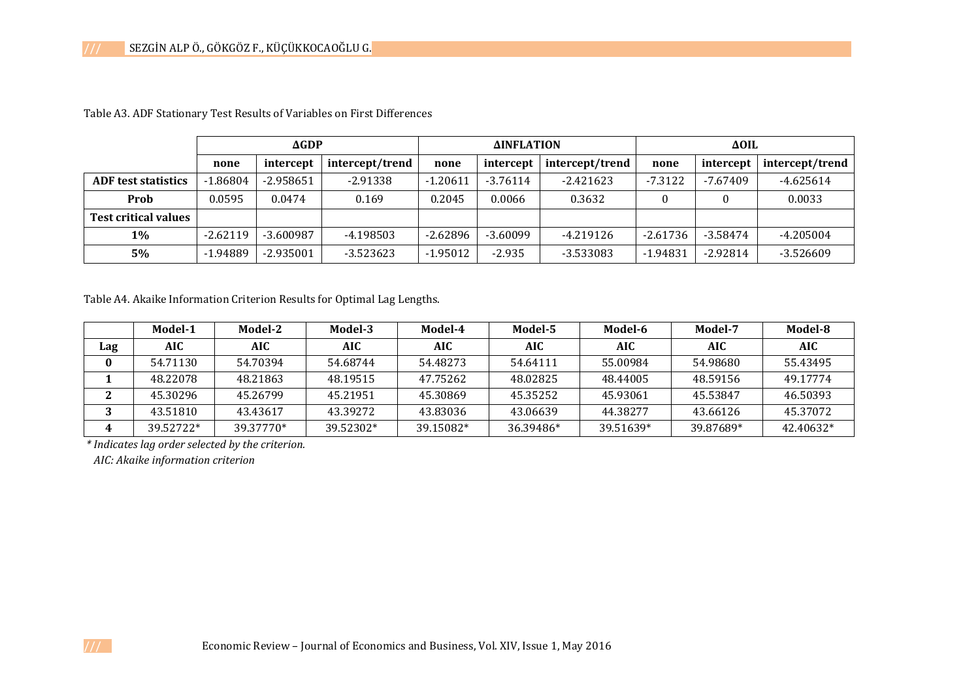|                             |                                         | AGDP        |             |            | <b>AINFLATION</b> |                 | $\Delta OIL$ |            |                 |  |
|-----------------------------|-----------------------------------------|-------------|-------------|------------|-------------------|-----------------|--------------|------------|-----------------|--|
|                             | intercept/trend<br>intercept<br>none    |             |             |            | intercept         | intercept/trend | none         | intercept  | intercept/trend |  |
| <b>ADF</b> test statistics  | $-1.86804$<br>$-2.958651$<br>$-2.91338$ |             |             | $-1.20611$ | $-3.76114$        | $-2.421623$     | $-7.3122$    | $-7.67409$ | $-4.625614$     |  |
| Prob                        | 0.0595<br>0.0474<br>0.169               |             |             |            | 0.0066            | 0.3632          |              |            | 0.0033          |  |
| <b>Test critical values</b> |                                         |             |             |            |                   |                 |              |            |                 |  |
| 1%                          | $-3.600987$<br>$-2.62119$<br>-4.198503  |             |             | $-2.62896$ | $-3.60099$        | -4.219126       | $-2.61736$   | $-3.58474$ | -4.205004       |  |
| 5%                          | $-1.94889$                              | $-2.935001$ | $-3.523623$ | $-1.95012$ | $-2.935$          | -3.533083       | $-1.94831$   | $-2.92814$ | $-3.526609$     |  |

Table A3. ADF Stationary Test Results of Variables on First Differences

Table A4. Akaike Information Criterion Results for Optimal Lag Lengths.

|     | Model-1    | Model-2   | Model-3    | Model-4    | Model-5   | Model-6    | Model-7    | Model-8    |
|-----|------------|-----------|------------|------------|-----------|------------|------------|------------|
| Lag | <b>AIC</b> | AIC       | <b>AIC</b> | <b>AIC</b> | AIC       | <b>AIC</b> | <b>AIC</b> | <b>AIC</b> |
|     | 54.71130   | 54.70394  | 54.68744   | 54.48273   | 54.64111  | 55.00984   | 54.98680   | 55.43495   |
|     | 48.22078   | 48.21863  | 48.19515   | 47.75262   | 48.02825  | 48.44005   | 48.59156   | 49.17774   |
|     | 45.30296   | 45.26799  | 45.21951   | 45.30869   | 45.35252  | 45.93061   | 45.53847   | 46.50393   |
|     | 43.51810   | 43.43617  | 43.39272   | 43.83036   | 43.06639  | 44.38277   | 43.66126   | 45.37072   |
| 4   | 39.52722*  | 39.37770* | 39.52302*  | 39.15082*  | 36.39486* | 39.51639*  | 39.87689*  | 42.40632*  |

*\* Indicates lag order selected by the criterion.*

 *AIC: Akaike information criterion*